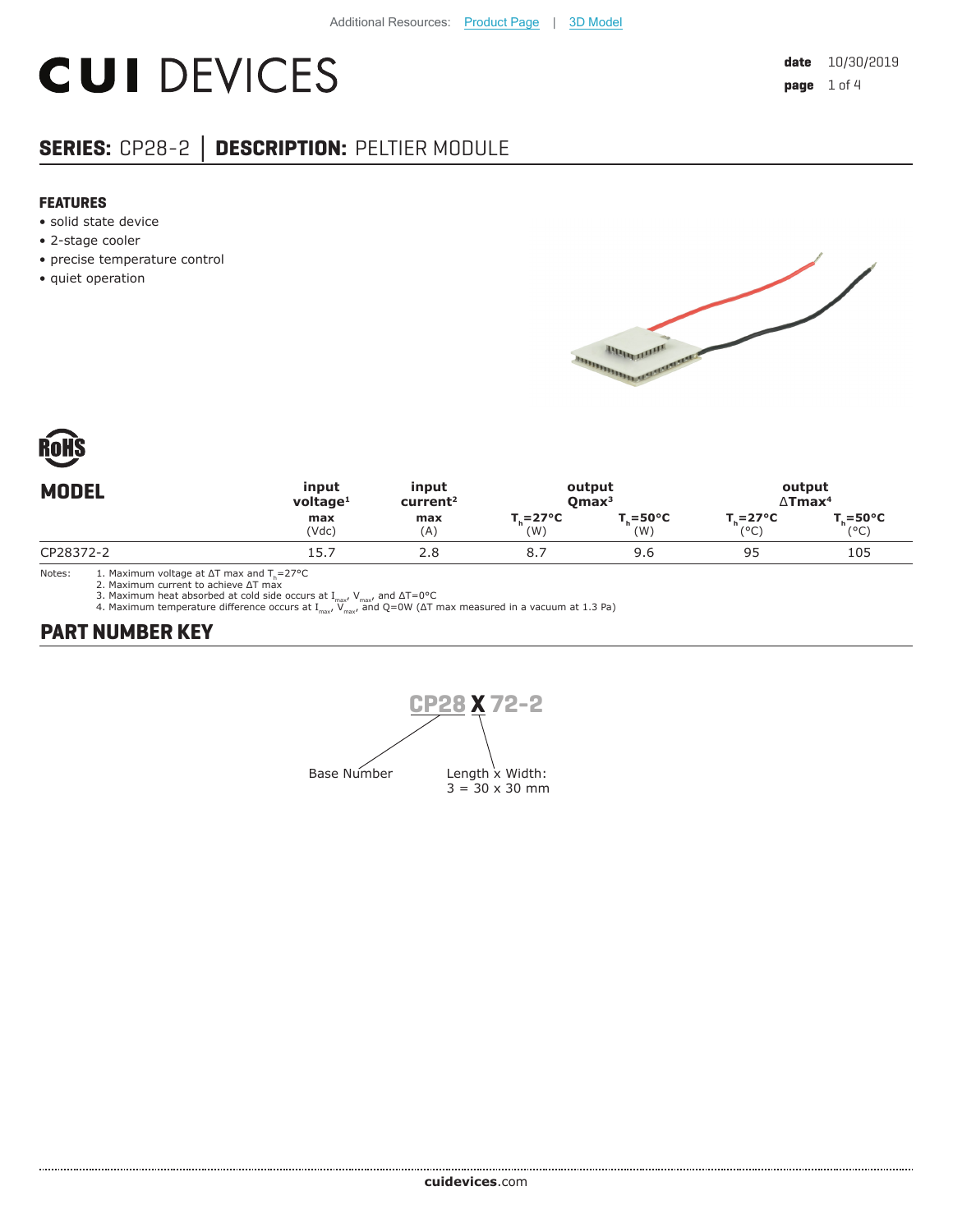# **CUI DEVICES**

### **SERIES:** CP28-2 **│ DESCRIPTION:** PELTIER MODULE

#### **FEATURES**

- solid state device
- 2-stage cooler
- precise temperature control
- quiet operation





| input<br>output<br><b>MODEL</b><br>input<br>$v$ oltage <sup>1</sup><br>Omax <sup>3</sup><br>current <sup>2</sup> |            |                                  | output<br>$\Delta$ Tmax <sup>4</sup> |                                  |                                    |
|------------------------------------------------------------------------------------------------------------------|------------|----------------------------------|--------------------------------------|----------------------------------|------------------------------------|
| max<br>(Vdc)                                                                                                     | max<br>(A) | $T_{\rm c} = 27^{\circ}C$<br>(W) | $T = 50^{\circ}C$<br>(W)             | $T_{\cdot} = 27^{\circ}C$<br>(°C | $T = 50^{\circ}C$<br>$(^{\circ}C)$ |
| 15.7                                                                                                             | 2.8        | 8.                               | 9.6                                  | 95                               | 105                                |
|                                                                                                                  |            |                                  |                                      |                                  |                                    |

Notes: 1. Maximum voltage at ΔT max and T<sub>h</sub>=27°C<br>2. Maximum current to achieve ΔT max

3. Maximum heat absorbed at cold side occurs at I<sub>max</sub>, V<sub>max</sub>, and ΔT=0°C<br>4. Maximum temperature difference occurs at I<sub>max</sub>, V<sub>max</sub>, and Q=0W (ΔT max measured in a vacuum at 1.3 Pa)

#### **PART NUMBER KEY**

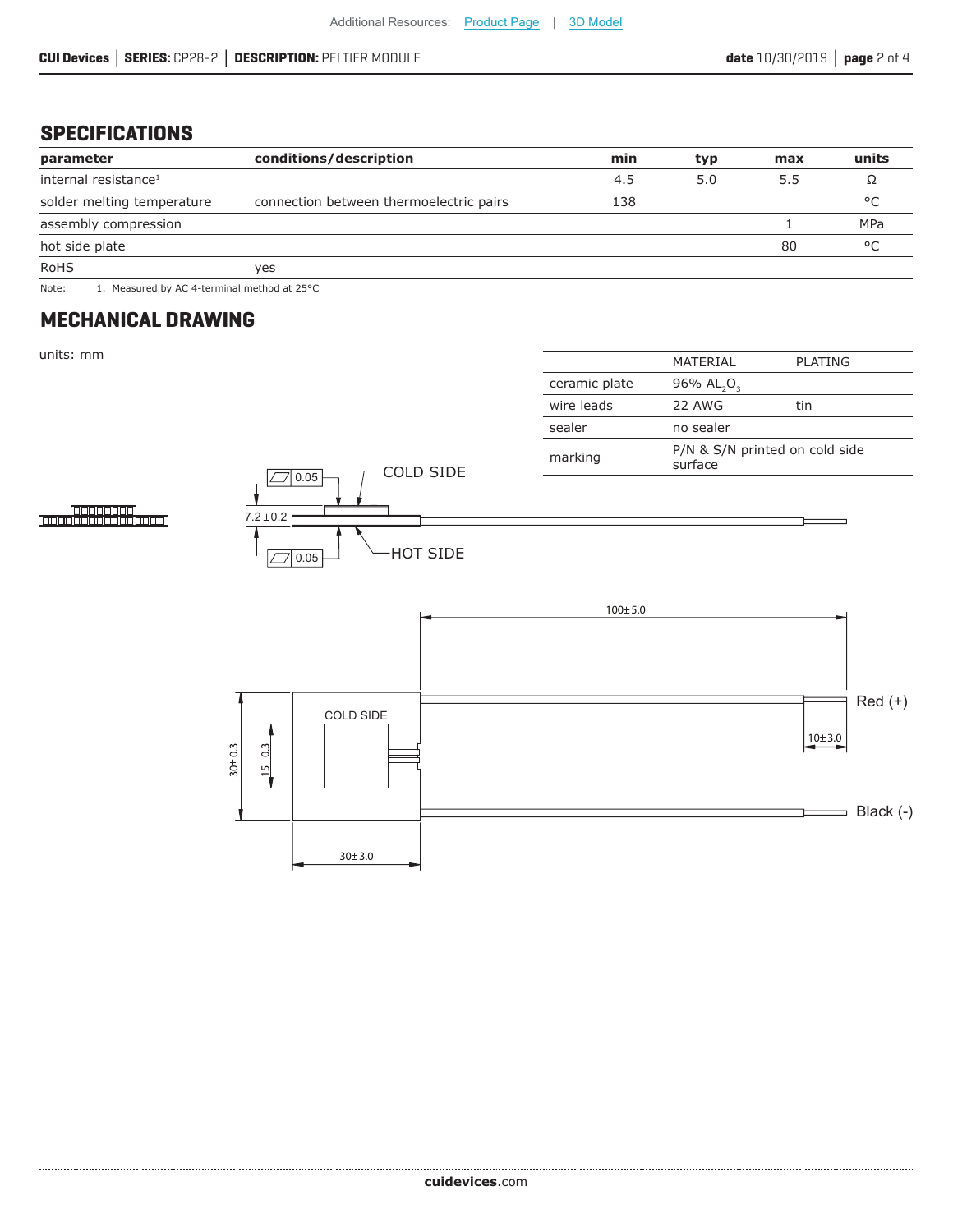#### **SPECIFICATIONS**

| parameter                        | conditions/description                  | min | typ | max | units |
|----------------------------------|-----------------------------------------|-----|-----|-----|-------|
| internal resistance <sup>1</sup> |                                         | 4.5 | 5.0 | 5.5 |       |
| solder melting temperature       | connection between thermoelectric pairs | 138 |     |     | °C    |
| assembly compression             |                                         |     |     |     | MPa   |
| hot side plate                   |                                         |     |     | 80  | °C    |
| <b>RoHS</b>                      | ves                                     |     |     |     |       |

Note: 1. Measured by AC 4-terminal method at 25°C

#### **MECHANICAL DRAWING**

units: mm

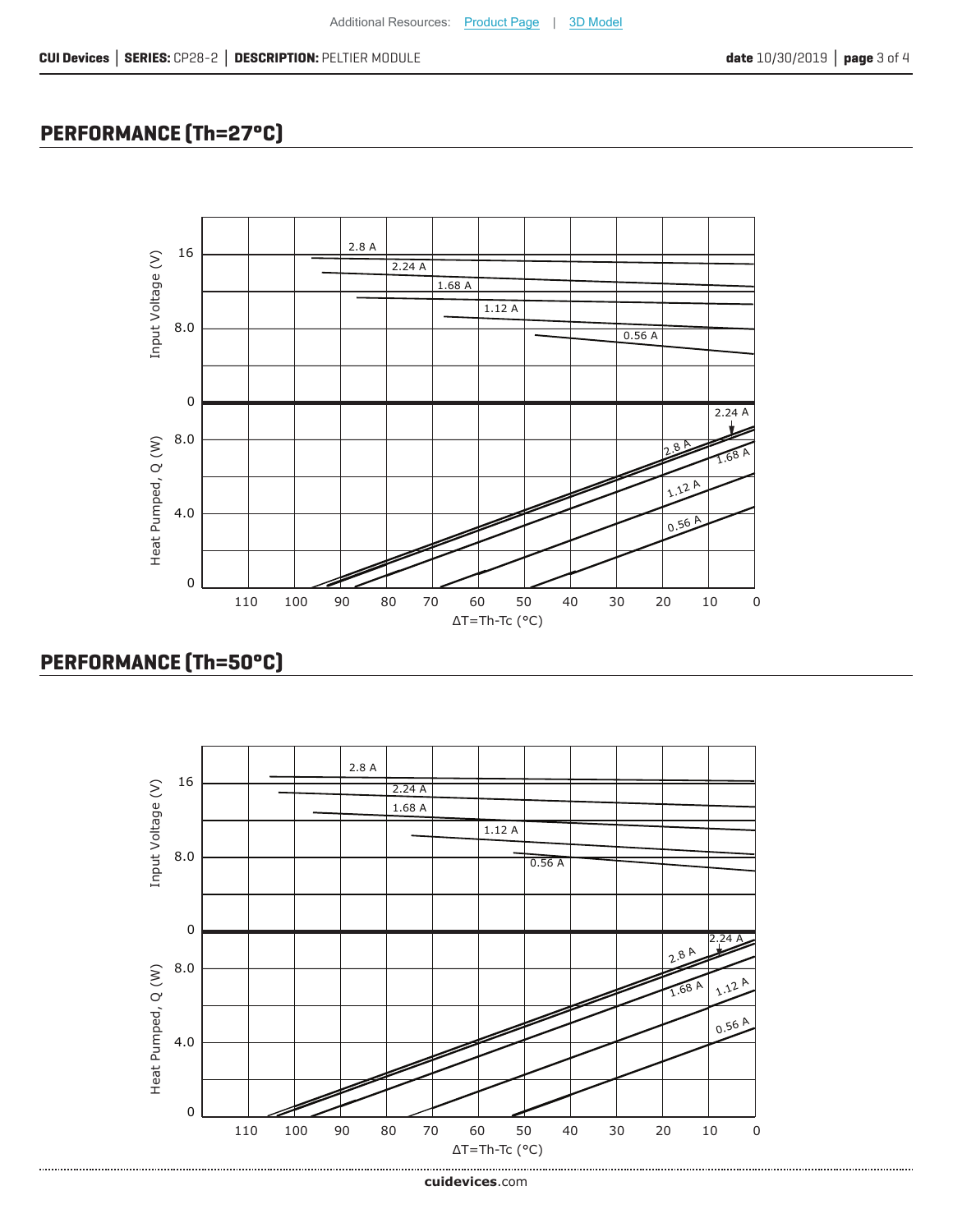## **PERFORMANCE (Th=27°C)**



### **PERFORMANCE (Th=50°C)**